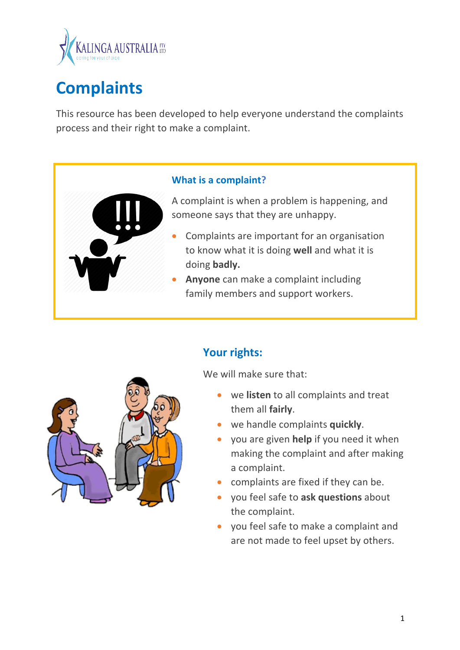

# **Complaints**

This resource has been developed to help everyone understand the complaints process and their right to make a complaint.

#### **What is a complaint?**

A complaint is when a problem is happening, and someone says that they are unhappy.

- Complaints are important for an organisation to know what it is doing **well** and what it is doing **badly.**
- **Anyone** can make a complaint including family members and support workers.



## **Your rights:**

We will make sure that:

- we **listen** to all complaints and treat them all **fairly**.
- we handle complaints **quickly**.
- you are given **help** if you need it when making the complaint and after making a complaint.
- complaints are fixed if they can be.
- you feel safe to **ask questions** about the complaint.
- you feel safe to make a complaint and are not made to feel upset by others.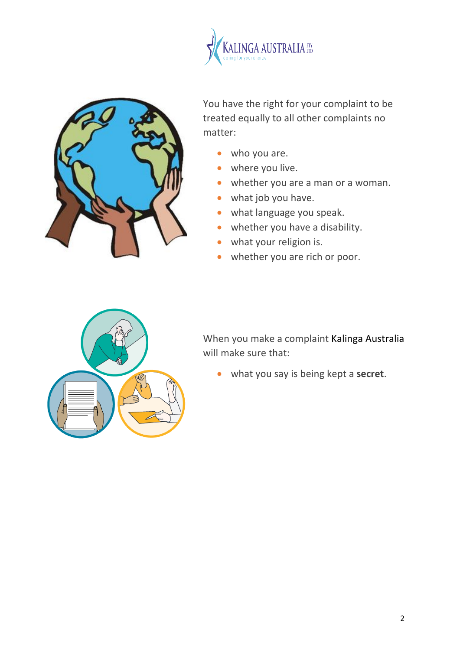



You have the right for your complaint to be treated equally to all other complaints no matter:

- who you are.
- where you live.
- whether you are a man or a woman.
- what job you have.
- what language you speak.
- whether you have a disability.
- what your religion is.
- whether you are rich or poor.



When you make a complaint Kalinga Australia will make sure that:

• what you say is being kept a **secret**.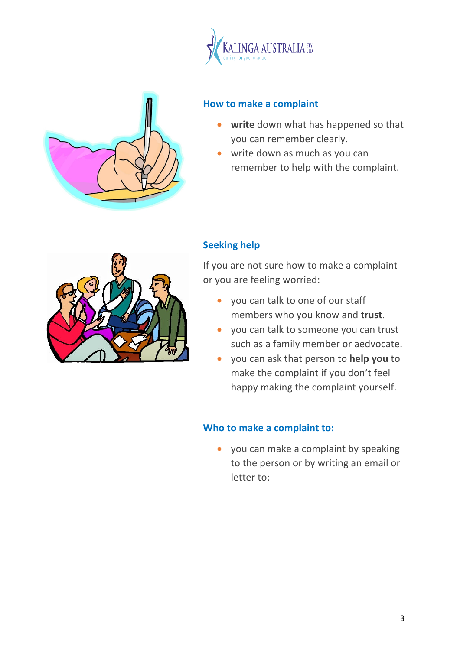



### **How to make a complaint**

- **write** down what has happened so that you can remember clearly.
- write down as much as you can remember to help with the complaint.



## **Seeking help**

If you are not sure how to make a complaint or you are feeling worried:

- you can talk to one of our staff members who you know and **trust**.
- you can talk to someone you can trust such as a family member or aedvocate.
- you can ask that person to **help you** to make the complaint if you don't feel happy making the complaint yourself.

### **Who to make a complaint to:**

• you can make a complaint by speaking to the person or by writing an email or letter to: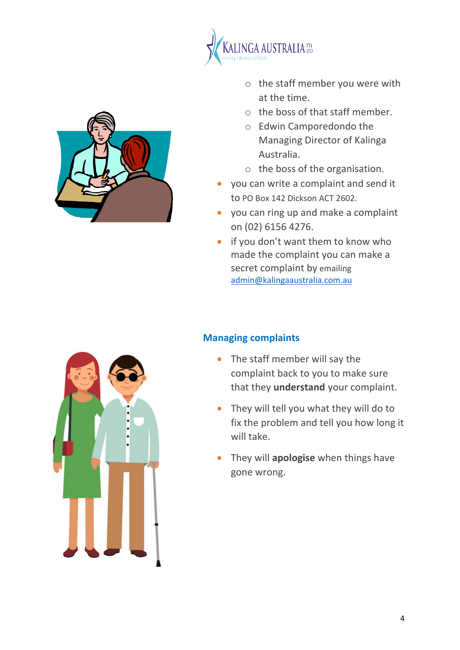

- o the staff member you were with at the time.
- $\circ$  the boss of that staff member.
- o Edwin Camporedondo the Managing Director of Kalinga Australia.
- o the boss of the organisation.
- you can write a complaint and send it to PO Box 142 Dickson ACT 2602.
- you can ring up and make a complaint on (02) 6156 4276.
- if you don't want them to know who made the complaint you can make a secret complaint by emailing admin@kalingaaustralia.com.au

### **Managing complaints**

- The staff member will say the complaint back to you to make sure that they **understand** your complaint.
- They will tell you what they will do to fix the problem and tell you how long it will take.
- They will **apologise** when things have gone wrong.